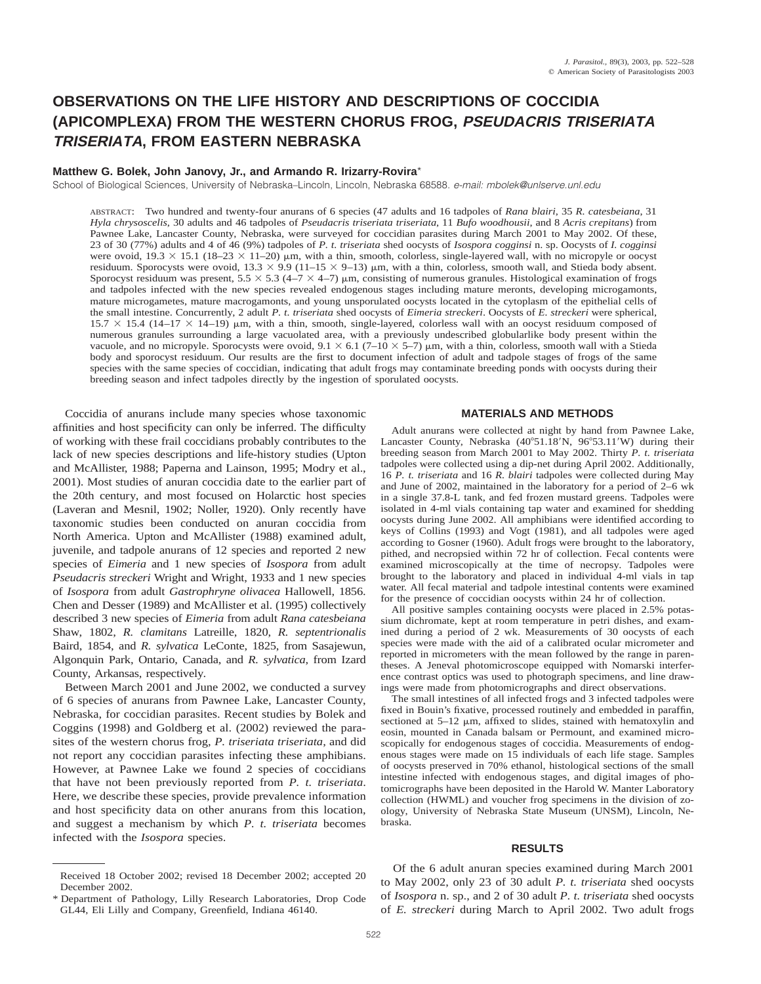# **OBSERVATIONS ON THE LIFE HISTORY AND DESCRIPTIONS OF COCCIDIA (APICOMPLEXA) FROM THE WESTERN CHORUS FROG, PSEUDACRIS TRISERIATA TRISERIATA, FROM EASTERN NEBRASKA**

# **Matthew G. Bolek, John Janovy, Jr., and Armando R. Irizarry-Rovira**\*

School of Biological Sciences, University of Nebraska-Lincoln, Lincoln, Nebraska 68588. e-mail: mbolek@unlserve.unl.edu

ABSTRACT: Two hundred and twenty-four anurans of 6 species (47 adults and 16 tadpoles of *Rana blairi*, 35 *R. catesbeiana*, 31 *Hyla chrysoscelis*, 30 adults and 46 tadpoles of *Pseudacris triseriata triseriata*, 11 *Bufo woodhousii*, and 8 *Acris crepitans*) from Pawnee Lake, Lancaster County, Nebraska, were surveyed for coccidian parasites during March 2001 to May 2002. Of these, 23 of 30 (77%) adults and 4 of 46 (9%) tadpoles of *P. t. triseriata* shed oocysts of *Isospora cogginsi* n. sp. Oocysts of *I. cogginsi* were ovoid,  $19.3 \times 15.1$  (18–23  $\times$  11–20)  $\mu$ m, with a thin, smooth, colorless, single-layered wall, with no micropyle or oocyst residuum. Sporocysts were ovoid,  $13.3 \times 9.9$  (11–15  $\times$  9–13)  $\mu$ m, with a thin, colorless, smooth wall, and Stieda body absent. Sporocyst residuum was present,  $5.5 \times 5.3$  (4–7  $\times$  4–7)  $\mu$ m, consisting of numerous granules. Histological examination of frogs and tadpoles infected with the new species revealed endogenous stages including mature meronts, developing microgamonts, mature microgametes, mature macrogamonts, and young unsporulated oocysts located in the cytoplasm of the epithelial cells of the small intestine. Concurrently, 2 adult *P. t. triseriata* shed oocysts of *Eimeria streckeri*. Oocysts of *E. streckeri* were spherical,  $15.7 \times 15.4$  (14–17  $\times$  14–19) µm, with a thin, smooth, single-layered, colorless wall with an oocyst residuum composed of numerous granules surrounding a large vacuolated area, with a previously undescribed globularlike body present within the vacuole, and no micropyle. Sporocysts were ovoid,  $9.1 \times 6.1$  (7–10  $\times$  5–7)  $\mu$ m, with a thin, colorless, smooth wall with a Stieda body and sporocyst residuum. Our results are the first to document infection of adult and tadpole stages of frogs of the same species with the same species of coccidian, indicating that adult frogs may contaminate breeding ponds with oocysts during their breeding season and infect tadpoles directly by the ingestion of sporulated oocysts.

Coccidia of anurans include many species whose taxonomic affinities and host specificity can only be inferred. The difficulty of working with these frail coccidians probably contributes to the lack of new species descriptions and life-history studies (Upton and McAllister, 1988; Paperna and Lainson, 1995; Modry et al., 2001). Most studies of anuran coccidia date to the earlier part of the 20th century, and most focused on Holarctic host species (Laveran and Mesnil, 1902; Noller, 1920). Only recently have taxonomic studies been conducted on anuran coccidia from North America. Upton and McAllister (1988) examined adult, juvenile, and tadpole anurans of 12 species and reported 2 new species of *Eimeria* and 1 new species of *Isospora* from adult *Pseudacris streckeri* Wright and Wright, 1933 and 1 new species of *Isospora* from adult *Gastrophryne olivacea* Hallowell, 1856. Chen and Desser (1989) and McAllister et al. (1995) collectively described 3 new species of *Eimeria* from adult *Rana catesbeiana* Shaw, 1802, *R. clamitans* Latreille, 1820, *R. septentrionalis* Baird, 1854, and *R. sylvatica* LeConte, 1825, from Sasajewun, Algonquin Park, Ontario, Canada, and *R. sylvatica*, from Izard County, Arkansas, respectively.

Between March 2001 and June 2002, we conducted a survey of 6 species of anurans from Pawnee Lake, Lancaster County, Nebraska, for coccidian parasites. Recent studies by Bolek and Coggins (1998) and Goldberg et al. (2002) reviewed the parasites of the western chorus frog, *P. triseriata triseriata*, and did not report any coccidian parasites infecting these amphibians. However, at Pawnee Lake we found 2 species of coccidians that have not been previously reported from *P. t. triseriata*. Here, we describe these species, provide prevalence information and host specificity data on other anurans from this location, and suggest a mechanism by which *P. t. triseriata* becomes infected with the *Isospora* species.

# **MATERIALS AND METHODS**

Adult anurans were collected at night by hand from Pawnee Lake, Lancaster County, Nebraska (40°51.18'N, 96°53.11'W) during their breeding season from March 2001 to May 2002. Thirty *P. t. triseriata* tadpoles were collected using a dip-net during April 2002. Additionally, 16 *P. t. triseriata* and 16 *R. blairi* tadpoles were collected during May and June of 2002, maintained in the laboratory for a period of 2–6 wk in a single 37.8-L tank, and fed frozen mustard greens. Tadpoles were isolated in 4-ml vials containing tap water and examined for shedding oocysts during June 2002. All amphibians were identified according to keys of Collins (1993) and Vogt (1981), and all tadpoles were aged according to Gosner (1960). Adult frogs were brought to the laboratory, pithed, and necropsied within 72 hr of collection. Fecal contents were examined microscopically at the time of necropsy. Tadpoles were brought to the laboratory and placed in individual 4-ml vials in tap water. All fecal material and tadpole intestinal contents were examined for the presence of coccidian oocysts within 24 hr of collection.

All positive samples containing oocysts were placed in 2.5% potassium dichromate, kept at room temperature in petri dishes, and examined during a period of 2 wk. Measurements of 30 oocysts of each species were made with the aid of a calibrated ocular micrometer and reported in micrometers with the mean followed by the range in parentheses. A Jeneval photomicroscope equipped with Nomarski interference contrast optics was used to photograph specimens, and line drawings were made from photomicrographs and direct observations.

The small intestines of all infected frogs and 3 infected tadpoles were fixed in Bouin's fixative, processed routinely and embedded in paraffin, sectioned at  $5-12 \mu m$ , affixed to slides, stained with hematoxylin and eosin, mounted in Canada balsam or Permount, and examined microscopically for endogenous stages of coccidia. Measurements of endogenous stages were made on 15 individuals of each life stage. Samples of oocysts preserved in 70% ethanol, histological sections of the small intestine infected with endogenous stages, and digital images of photomicrographs have been deposited in the Harold W. Manter Laboratory collection (HWML) and voucher frog specimens in the division of zoology, University of Nebraska State Museum (UNSM), Lincoln, Nebraska.

### **RESULTS**

Of the 6 adult anuran species examined during March 2001 to May 2002, only 23 of 30 adult *P. t. triseriata* shed oocysts of *Isospora* n. sp., and 2 of 30 adult *P. t. triseriata* shed oocysts of *E. streckeri* during March to April 2002. Two adult frogs

Received 18 October 2002; revised 18 December 2002; accepted 20 December 2002.

<sup>\*</sup> Department of Pathology, Lilly Research Laboratories, Drop Code GL44, Eli Lilly and Company, Greenfield, Indiana 46140.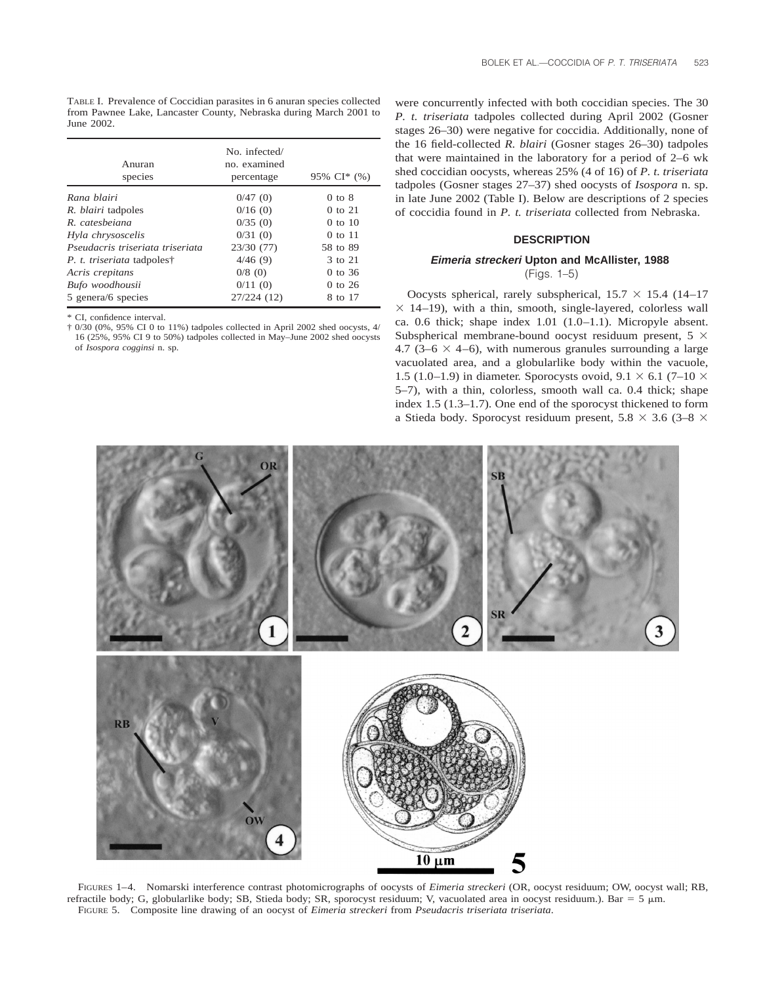TABLE I. Prevalence of Coccidian parasites in 6 anuran species collected from Pawnee Lake, Lancaster County, Nebraska during March 2001 to June 2002.

| Anuran<br>species                 | No. infected/<br>no. examined<br>percentage | 95% CI* (%) |
|-----------------------------------|---------------------------------------------|-------------|
| Rana blairi                       | 0/47(0)                                     | $0$ to $8$  |
| R. blairi tadpoles                | 0/16(0)                                     | $0$ to $21$ |
| R. catesbeiana                    | 0/35(0)                                     | $0$ to $10$ |
| Hyla chrysoscelis                 | 0/31(0)                                     | $0$ to 11   |
| Pseudacris triseriata triseriata  | 23/30 (77)                                  | 58 to 89    |
| <i>P. t. triseriata</i> tadpoles† | 4/46(9)                                     | 3 to 21     |
| Acris crepitans                   | 0/8(0)                                      | $0$ to 36   |
| Bufo woodhousii                   | 0/11(0)                                     | $0$ to 26   |
| 5 genera/6 species                | 27/224 (12)                                 | 8 to 17     |

\* CI, confidence interval.

† 0/30 (0%, 95% CI 0 to 11%) tadpoles collected in April 2002 shed oocysts, 4/ 16 (25%, 95% CI 9 to 50%) tadpoles collected in May–June 2002 shed oocysts of *Isospora cogginsi* n. sp.

were concurrently infected with both coccidian species. The 30 *P. t. triseriata* tadpoles collected during April 2002 (Gosner stages 26–30) were negative for coccidia. Additionally, none of the 16 field-collected *R. blairi* (Gosner stages 26–30) tadpoles that were maintained in the laboratory for a period of 2–6 wk shed coccidian oocysts, whereas 25% (4 of 16) of *P. t. triseriata* tadpoles (Gosner stages 27–37) shed oocysts of *Isospora* n. sp. in late June 2002 (Table I). Below are descriptions of 2 species of coccidia found in *P. t. triseriata* collected from Nebraska.

# **DESCRIPTION**

# **Eimeria streckeri Upton and McAllister, 1988** (Figs. 1–5)

Oocysts spherical, rarely subspherical,  $15.7 \times 15.4$  (14–17  $\times$  14–19), with a thin, smooth, single-layered, colorless wall ca. 0.6 thick; shape index 1.01 (1.0–1.1). Micropyle absent. Subspherical membrane-bound oocyst residuum present, 5  $\times$ 4.7 (3–6  $\times$  4–6), with numerous granules surrounding a large vacuolated area, and a globularlike body within the vacuole, 1.5 (1.0–1.9) in diameter. Sporocysts ovoid, 9.1  $\times$  6.1 (7–10  $\times$ 5–7), with a thin, colorless, smooth wall ca. 0.4 thick; shape index 1.5 (1.3–1.7). One end of the sporocyst thickened to form a Stieda body. Sporocyst residuum present,  $5.8 \times 3.6$  (3–8  $\times$ 



FIGURES 1–4. Nomarski interference contrast photomicrographs of oocysts of *Eimeria streckeri* (OR, oocyst residuum; OW, oocyst wall; RB, refractile body; G, globularlike body; SB, Stieda body; SR, sporocyst residuum; V, vacuolated area in oocyst residuum.). Bar = 5  $\mu$ m. FIGURE 5. Composite line drawing of an oocyst of *Eimeria streckeri* from *Pseudacris triseriata triseriata*.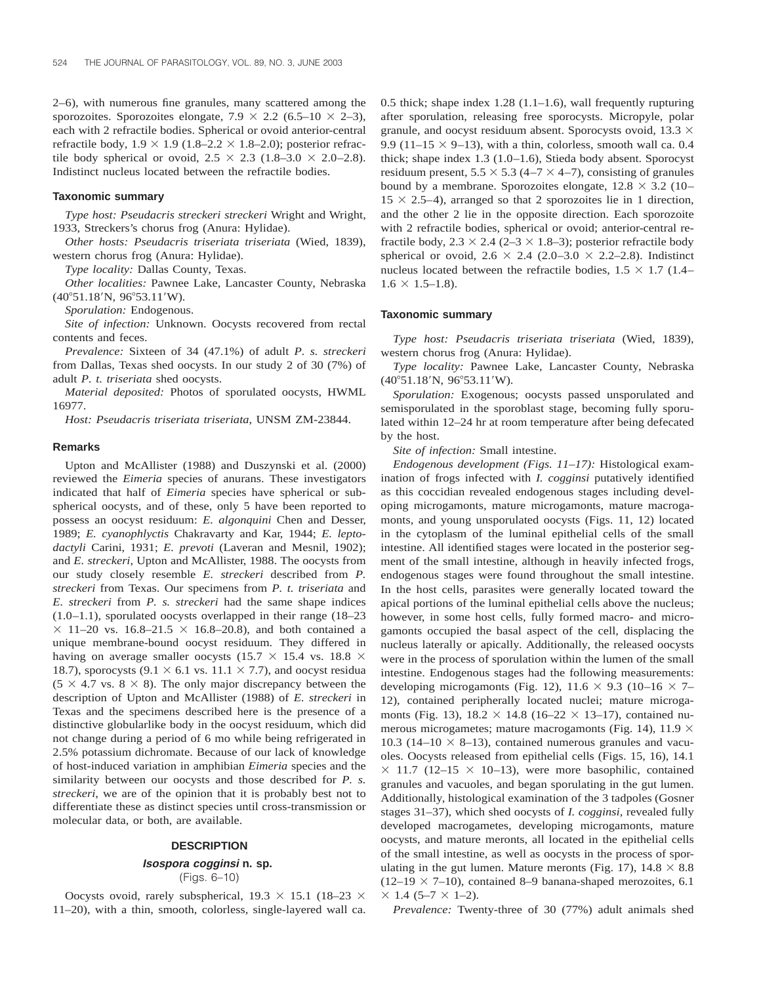2–6), with numerous fine granules, many scattered among the sporozoites. Sporozoites elongate,  $7.9 \times 2.2$  (6.5–10  $\times$  2–3), each with 2 refractile bodies. Spherical or ovoid anterior-central refractile body,  $1.9 \times 1.9$  ( $1.8-2.2 \times 1.8-2.0$ ); posterior refractile body spherical or ovoid,  $2.5 \times 2.3$  (1.8–3.0  $\times$  2.0–2.8). Indistinct nucleus located between the refractile bodies.

## **Taxonomic summary**

*Type host: Pseudacris streckeri streckeri* Wright and Wright, 1933, Streckers's chorus frog (Anura: Hylidae).

*Other hosts: Pseudacris triseriata triseriata* (Wied, 1839), western chorus frog (Anura: Hylidae).

*Type locality:* Dallas County, Texas.

*Other localities:* Pawnee Lake, Lancaster County, Nebraska  $(40^{\circ}51.18^{\prime}N, 96^{\circ}53.11^{\prime}W).$ 

*Sporulation:* Endogenous.

*Site of infection:* Unknown. Oocysts recovered from rectal contents and feces.

*Prevalence:* Sixteen of 34 (47.1%) of adult *P. s. streckeri* from Dallas, Texas shed oocysts. In our study 2 of 30 (7%) of adult *P. t. triseriata* shed oocysts.

*Material deposited:* Photos of sporulated oocysts, HWML 16977.

*Host: Pseudacris triseriata triseriata*, UNSM ZM-23844.

#### **Remarks**

Upton and McAllister (1988) and Duszynski et al. (2000) reviewed the *Eimeria* species of anurans. These investigators indicated that half of *Eimeria* species have spherical or subspherical oocysts, and of these, only 5 have been reported to possess an oocyst residuum: *E. algonquini* Chen and Desser, 1989; *E. cyanophlyctis* Chakravarty and Kar, 1944; *E. leptodactyli* Carini, 1931; *E. prevoti* (Laveran and Mesnil, 1902); and *E. streckeri*, Upton and McAllister, 1988. The oocysts from our study closely resemble *E. streckeri* described from *P. streckeri* from Texas. Our specimens from *P. t. triseriata* and *E. streckeri* from *P. s. streckeri* had the same shape indices (1.0–1.1), sporulated oocysts overlapped in their range (18–23  $\times$  11–20 vs. 16.8–21.5  $\times$  16.8–20.8), and both contained a unique membrane-bound oocyst residuum. They differed in having on average smaller oocysts (15.7  $\times$  15.4 vs. 18.8  $\times$ 18.7), sporocysts (9.1  $\times$  6.1 vs. 11.1  $\times$  7.7), and oocyst residua  $(5 \times 4.7 \text{ vs. } 8 \times 8)$ . The only major discrepancy between the description of Upton and McAllister (1988) of *E. streckeri* in Texas and the specimens described here is the presence of a distinctive globularlike body in the oocyst residuum, which did not change during a period of 6 mo while being refrigerated in 2.5% potassium dichromate. Because of our lack of knowledge of host-induced variation in amphibian *Eimeria* species and the similarity between our oocysts and those described for *P. s. streckeri*, we are of the opinion that it is probably best not to differentiate these as distinct species until cross-transmission or molecular data, or both, are available.

#### **DESCRIPTION**

## **Isospora cogginsi n. sp.**

(Figs. 6–10)

Oocysts ovoid, rarely subspherical,  $19.3 \times 15.1$  (18–23  $\times$ 11–20), with a thin, smooth, colorless, single-layered wall ca. 0.5 thick; shape index 1.28 (1.1–1.6), wall frequently rupturing after sporulation, releasing free sporocysts. Micropyle, polar granule, and oocyst residuum absent. Sporocysts ovoid,  $13.3 \times$ 9.9 (11–15  $\times$  9–13), with a thin, colorless, smooth wall ca. 0.4 thick; shape index 1.3 (1.0–1.6), Stieda body absent. Sporocyst residuum present,  $5.5 \times 5.3$  (4–7  $\times$  4–7), consisting of granules bound by a membrane. Sporozoites elongate,  $12.8 \times 3.2$  (10–  $15 \times 2.5-4$ ), arranged so that 2 sporozoites lie in 1 direction, and the other 2 lie in the opposite direction. Each sporozoite with 2 refractile bodies, spherical or ovoid; anterior-central refractile body,  $2.3 \times 2.4$  (2–3  $\times$  1.8–3); posterior refractile body spherical or ovoid,  $2.6 \times 2.4$  (2.0–3.0  $\times$  2.2–2.8). Indistinct nucleus located between the refractile bodies,  $1.5 \times 1.7$  (1.4–  $1.6 \times 1.5$ –1.8).

## **Taxonomic summary**

*Type host: Pseudacris triseriata triseriata* (Wied, 1839), western chorus frog (Anura: Hylidae).

*Type locality:* Pawnee Lake, Lancaster County, Nebraska  $(40^{\circ}51.18^{\prime}N, 96^{\circ}53.11^{\prime}W).$ 

*Sporulation:* Exogenous; oocysts passed unsporulated and semisporulated in the sporoblast stage, becoming fully sporulated within 12–24 hr at room temperature after being defecated by the host.

*Site of infection:* Small intestine.

*Endogenous development (Figs. 11–17):* Histological examination of frogs infected with *I. cogginsi* putatively identified as this coccidian revealed endogenous stages including developing microgamonts, mature microgamonts, mature macrogamonts, and young unsporulated oocysts (Figs. 11, 12) located in the cytoplasm of the luminal epithelial cells of the small intestine. All identified stages were located in the posterior segment of the small intestine, although in heavily infected frogs, endogenous stages were found throughout the small intestine. In the host cells, parasites were generally located toward the apical portions of the luminal epithelial cells above the nucleus; however, in some host cells, fully formed macro- and microgamonts occupied the basal aspect of the cell, displacing the nucleus laterally or apically. Additionally, the released oocysts were in the process of sporulation within the lumen of the small intestine. Endogenous stages had the following measurements: developing microgamonts (Fig. 12), 11.6  $\times$  9.3 (10–16  $\times$  7– 12), contained peripherally located nuclei; mature microgamonts (Fig. 13),  $18.2 \times 14.8$  (16–22  $\times$  13–17), contained numerous microgametes; mature macrogamonts (Fig. 14), 11.9  $\times$ 10.3 (14–10  $\times$  8–13), contained numerous granules and vacuoles. Oocysts released from epithelial cells (Figs. 15, 16), 14.1  $\times$  11.7 (12–15  $\times$  10–13), were more basophilic, contained granules and vacuoles, and began sporulating in the gut lumen. Additionally, histological examination of the 3 tadpoles (Gosner stages 31–37), which shed oocysts of *I. cogginsi*, revealed fully developed macrogametes, developing microgamonts, mature oocysts, and mature meronts, all located in the epithelial cells of the small intestine, as well as oocysts in the process of sporulating in the gut lumen. Mature meronts (Fig. 17),  $14.8 \times 8.8$  $(12–19 \times 7–10)$ , contained 8–9 banana-shaped merozoites, 6.1  $\times$  1.4 (5–7  $\times$  1–2).

*Prevalence:* Twenty-three of 30 (77%) adult animals shed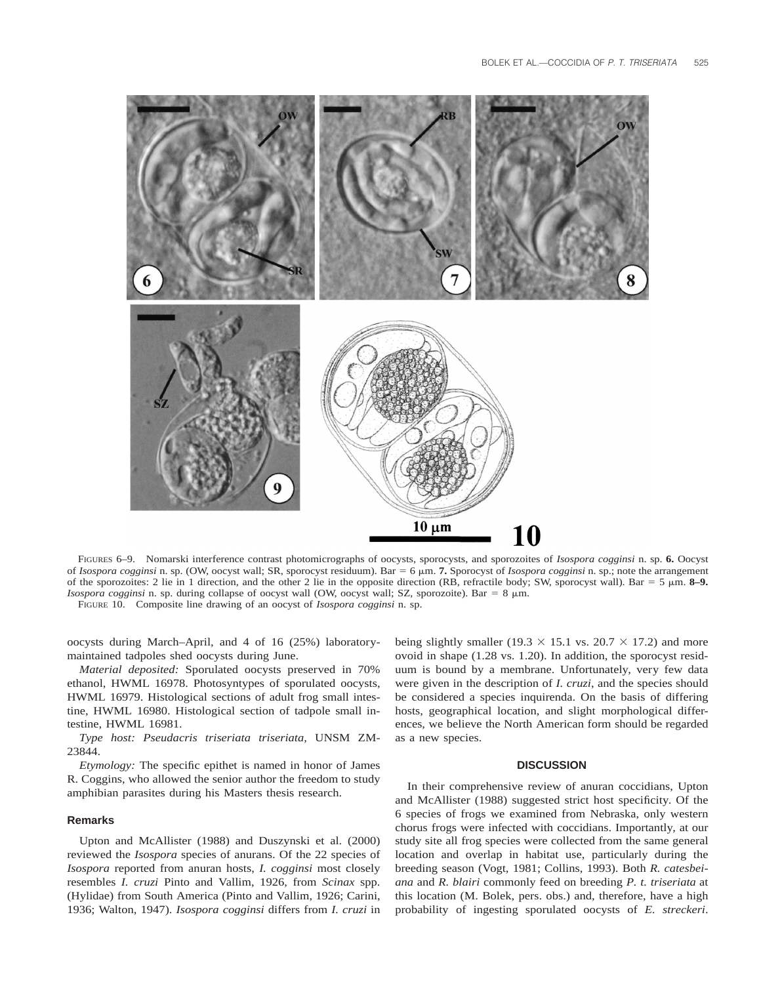

FIGURES 6–9. Nomarski interference contrast photomicrographs of oocysts, sporocysts, and sporozoites of *Isospora cogginsi* n. sp. **6.** Oocyst of *Isospora cogginsi* n. sp. (OW, oocyst wall; SR, sporocyst residuum). Bar 5 6 mm. **7.** Sporocyst of *Isospora cogginsi* n. sp.; note the arrangement of the sporozoites: 2 lie in 1 direction, and the other 2 lie in the opposite direction (RB, refractile body; SW, sporocyst wall). Bar = 5  $\mu$ m. 8–9. *Isospora cogginsi* n. sp. during collapse of oocyst wall (OW, oocyst wall; SZ, sporozoite). Bar =  $8 \mu m$ .

FIGURE 10. Composite line drawing of an oocyst of *Isospora cogginsi* n. sp.

oocysts during March–April, and 4 of 16 (25%) laboratorymaintained tadpoles shed oocysts during June.

*Material deposited:* Sporulated oocysts preserved in 70% ethanol, HWML 16978. Photosyntypes of sporulated oocysts, HWML 16979. Histological sections of adult frog small intestine, HWML 16980. Histological section of tadpole small intestine, HWML 16981.

*Type host: Pseudacris triseriata triseriata*, UNSM ZM-23844.

*Etymology:* The specific epithet is named in honor of James R. Coggins, who allowed the senior author the freedom to study amphibian parasites during his Masters thesis research.

# **Remarks**

Upton and McAllister (1988) and Duszynski et al. (2000) reviewed the *Isospora* species of anurans. Of the 22 species of *Isospora* reported from anuran hosts, *I. cogginsi* most closely resembles *I. cruzi* Pinto and Vallim, 1926, from *Scinax* spp. (Hylidae) from South America (Pinto and Vallim, 1926; Carini, 1936; Walton, 1947). *Isospora cogginsi* differs from *I. cruzi* in

being slightly smaller (19.3  $\times$  15.1 vs. 20.7  $\times$  17.2) and more ovoid in shape (1.28 vs. 1.20). In addition, the sporocyst residuum is bound by a membrane. Unfortunately, very few data were given in the description of *I. cruzi*, and the species should be considered a species inquirenda. On the basis of differing hosts, geographical location, and slight morphological differences, we believe the North American form should be regarded as a new species.

# **DISCUSSION**

In their comprehensive review of anuran coccidians, Upton and McAllister (1988) suggested strict host specificity. Of the 6 species of frogs we examined from Nebraska, only western chorus frogs were infected with coccidians. Importantly, at our study site all frog species were collected from the same general location and overlap in habitat use, particularly during the breeding season (Vogt, 1981; Collins, 1993). Both *R. catesbeiana* and *R. blairi* commonly feed on breeding *P. t. triseriata* at this location (M. Bolek, pers. obs.) and, therefore, have a high probability of ingesting sporulated oocysts of *E. streckeri*.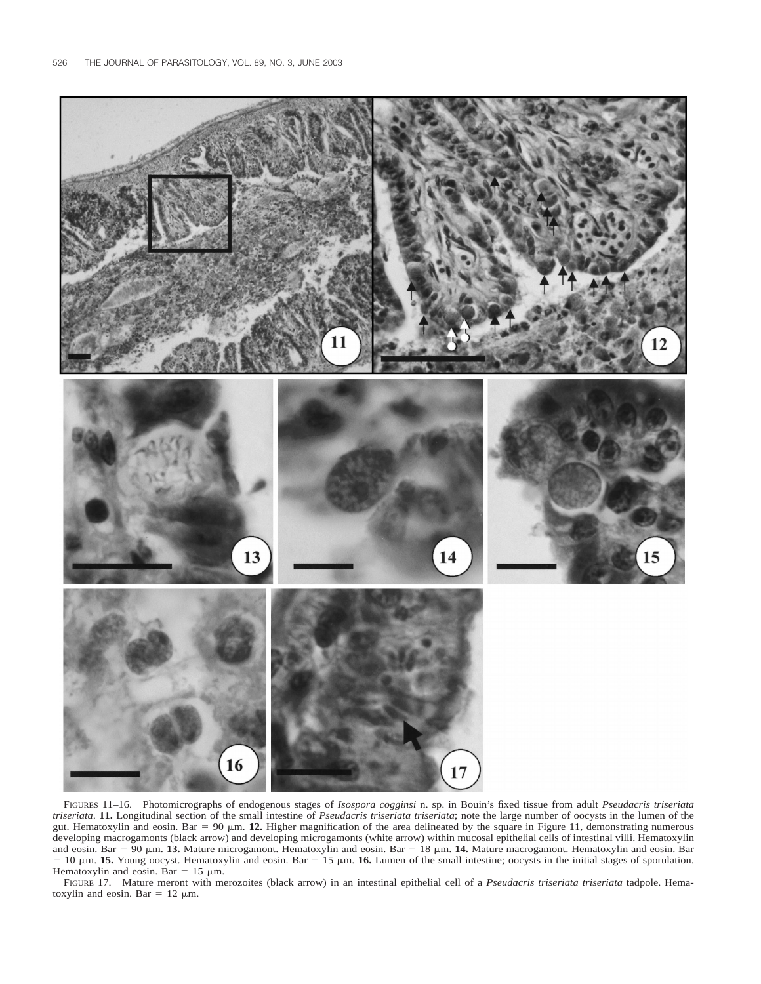

FIGURES 11–16. Photomicrographs of endogenous stages of *Isospora cogginsi* n. sp. in Bouin's fixed tissue from adult *Pseudacris triseriata triseriata*. **11.** Longitudinal section of the small intestine of *Pseudacris triseriata triseriata*; note the large number of oocysts in the lumen of the gut. Hematoxylin and eosin. Bar 5 90 mm. **12.** Higher magnification of the area delineated by the square in Figure 11, demonstrating numerous developing macrogamonts (black arrow) and developing microgamonts (white arrow) within mucosal epithelial cells of intestinal villi. Hematoxylin and eosin. Bar = 90  $\mu$ m. 13. Mature microgamont. Hematoxylin and eosin. Bar = 18  $\mu$ m. 14. Mature macrogamont. Hematoxylin and eosin. Bar  $= 10 \mu m$ . **15.** Young oocyst. Hematoxylin and eosin. Bar = 15  $\mu$ m. **16.** Lumen of the small intestine; oocysts in the initial stages of sporulation. Hematoxylin and eosin. Bar = 15  $\mu$ m.

FIGURE 17. Mature meront with merozoites (black arrow) in an intestinal epithelial cell of a *Pseudacris triseriata triseriata* tadpole. Hematoxylin and eosin. Bar =  $12 \mu m$ .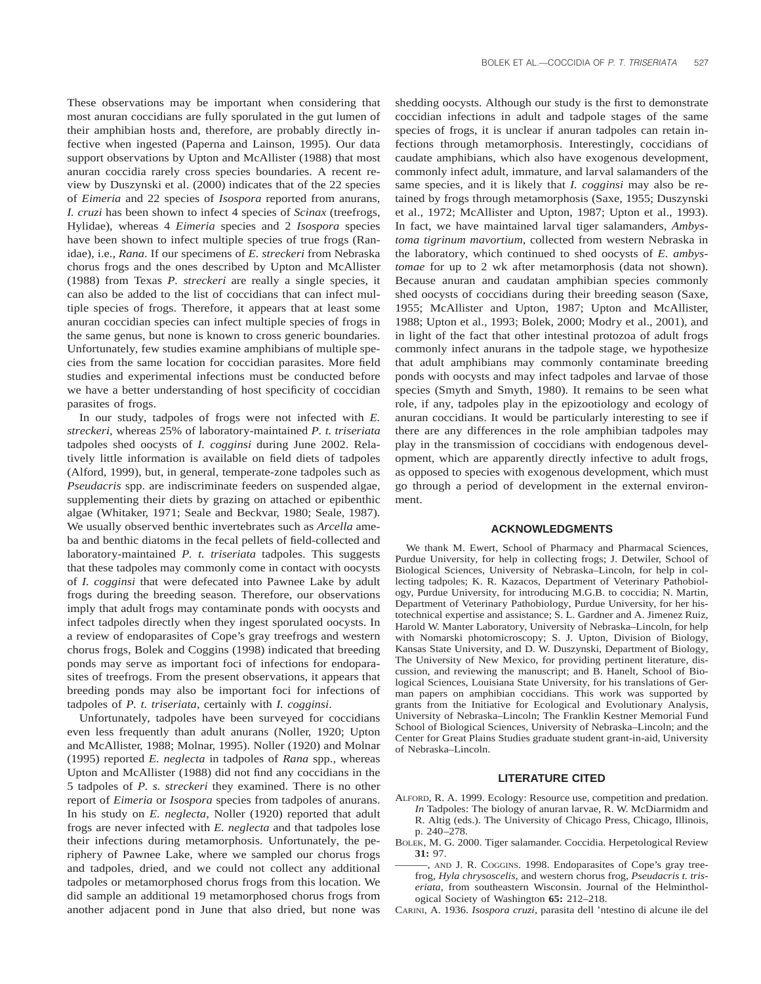These observations may be important when considering that most anuran coccidians are fully sporulated in the gut lumen of their amphibian hosts and, therefore, are probably directly infective when ingested (Paperna and Lainson, 1995). Our data support observations by Upton and McAllister (1988) that most anuran coccidia rarely cross species boundaries. A recent review by Duszynski et al. (2000) indicates that of the 22 species of *Eimeria* and 22 species of *Isospora* reported from anurans, *I. cruzi* has been shown to infect 4 species of *Scinax* (treefrogs, Hylidae), whereas 4 *Eimeria* species and 2 *Isospora* species have been shown to infect multiple species of true frogs (Ranidae), i.e., *Rana*. If our specimens of *E. streckeri* from Nebraska chorus frogs and the ones described by Upton and McAllister (1988) from Texas *P. streckeri* are really a single species, it can also be added to the list of coccidians that can infect multiple species of frogs. Therefore, it appears that at least some anuran coccidian species can infect multiple species of frogs in the same genus, but none is known to cross generic boundaries. Unfortunately, few studies examine amphibians of multiple species from the same location for coccidian parasites. More field studies and experimental infections must be conducted before we have a better understanding of host specificity of coccidian parasites of frogs.

In our study, tadpoles of frogs were not infected with *E. streckeri*, whereas 25% of laboratory-maintained *P. t. triseriata* tadpoles shed oocysts of *I. cogginsi* during June 2002. Relatively little information is available on field diets of tadpoles (Alford, 1999), but, in general, temperate-zone tadpoles such as *Pseudacris* spp. are indiscriminate feeders on suspended algae, supplementing their diets by grazing on attached or epibenthic algae (Whitaker, 1971; Seale and Beckvar, 1980; Seale, 1987). We usually observed benthic invertebrates such as *Arcella* ameba and benthic diatoms in the fecal pellets of field-collected and laboratory-maintained *P. t. triseriata* tadpoles. This suggests that these tadpoles may commonly come in contact with oocysts of *I. cogginsi* that were defecated into Pawnee Lake by adult frogs during the breeding season. Therefore, our observations imply that adult frogs may contaminate ponds with oocysts and infect tadpoles directly when they ingest sporulated oocysts. In a review of endoparasites of Cope's gray treefrogs and western chorus frogs, Bolek and Coggins (1998) indicated that breeding ponds may serve as important foci of infections for endoparasites of treefrogs. From the present observations, it appears that breeding ponds may also be important foci for infections of tadpoles of *P. t. triseriata*, certainly with *I. cogginsi*.

Unfortunately, tadpoles have been surveyed for coccidians even less frequently than adult anurans (Noller, 1920; Upton and McAllister, 1988; Molnar, 1995). Noller (1920) and Molnar (1995) reported *E. neglecta* in tadpoles of *Rana* spp., whereas Upton and McAllister (1988) did not find any coccidians in the 5 tadpoles of *P. s. streckeri* they examined. There is no other report of *Eimeria* or *Isospora* species from tadpoles of anurans. In his study on *E. neglecta*, Noller (1920) reported that adult frogs are never infected with *E. neglecta* and that tadpoles lose their infections during metamorphosis. Unfortunately, the periphery of Pawnee Lake, where we sampled our chorus frogs and tadpoles, dried, and we could not collect any additional tadpoles or metamorphosed chorus frogs from this location. We did sample an additional 19 metamorphosed chorus frogs from another adjacent pond in June that also dried, but none was shedding oocysts. Although our study is the first to demonstrate coccidian infections in adult and tadpole stages of the same species of frogs, it is unclear if anuran tadpoles can retain infections through metamorphosis. Interestingly, coccidians of caudate amphibians, which also have exogenous development, commonly infect adult, immature, and larval salamanders of the same species, and it is likely that *I. cogginsi* may also be retained by frogs through metamorphosis (Saxe, 1955; Duszynski et al., 1972; McAllister and Upton, 1987; Upton et al., 1993). In fact, we have maintained larval tiger salamanders, *Ambystoma tigrinum mavortium*, collected from western Nebraska in the laboratory, which continued to shed oocysts of *E. ambystomae* for up to 2 wk after metamorphosis (data not shown). Because anuran and caudatan amphibian species commonly shed oocysts of coccidians during their breeding season (Saxe, 1955; McAllister and Upton, 1987; Upton and McAllister, 1988; Upton et al., 1993; Bolek, 2000; Modry et al., 2001), and in light of the fact that other intestinal protozoa of adult frogs commonly infect anurans in the tadpole stage, we hypothesize that adult amphibians may commonly contaminate breeding ponds with oocysts and may infect tadpoles and larvae of those species (Smyth and Smyth, 1980). It remains to be seen what role, if any, tadpoles play in the epizootiology and ecology of anuran coccidians. It would be particularly interesting to see if there are any differences in the role amphibian tadpoles may play in the transmission of coccidians with endogenous development, which are apparently directly infective to adult frogs, as opposed to species with exogenous development, which must go through a period of development in the external environment.

## **ACKNOWLEDGMENTS**

We thank M. Ewert, School of Pharmacy and Pharmacal Sciences, Purdue University, for help in collecting frogs; J. Detwiler, School of Biological Sciences, University of Nebraska–Lincoln, for help in collecting tadpoles; K. R. Kazacos, Department of Veterinary Pathobiology, Purdue University, for introducing M.G.B. to coccidia; N. Martin, Department of Veterinary Pathobiology, Purdue University, for her histotechnical expertise and assistance; S. L. Gardner and A. Jimenez Ruiz, Harold W. Manter Laboratory, University of Nebraska–Lincoln, for help with Nomarski photomicroscopy; S. J. Upton, Division of Biology, Kansas State University, and D. W. Duszynski, Department of Biology, The University of New Mexico, for providing pertinent literature, discussion, and reviewing the manuscript; and B. Hanelt, School of Biological Sciences, Louisiana State University, for his translations of German papers on amphibian coccidians. This work was supported by grants from the Initiative for Ecological and Evolutionary Analysis, University of Nebraska–Lincoln; The Franklin Kestner Memorial Fund School of Biological Sciences, University of Nebraska–Lincoln; and the Center for Great Plains Studies graduate student grant-in-aid, University of Nebraska–Lincoln.

## **LITERATURE CITED**

- ALFORD, R. A. 1999. Ecology: Resource use, competition and predation. *In* Tadpoles: The biology of anuran larvae, R. W. McDiarmidm and R. Altig (eds.). The University of Chicago Press, Chicago, Illinois, p. 240–278.
- BOLEK, M. G. 2000. Tiger salamander. Coccidia. Herpetological Review **31:** 97.
- -, AND J. R. COGGINS. 1998. Endoparasites of Cope's gray treefrog, *Hyla chrysoscelis*, and western chorus frog, *Pseudacris t. triseriata*, from southeastern Wisconsin. Journal of the Helminthological Society of Washington **65:** 212–218.
- CARINI, A. 1936. *Isospora cruzi*, parasita dell 'ntestino di alcune ile del